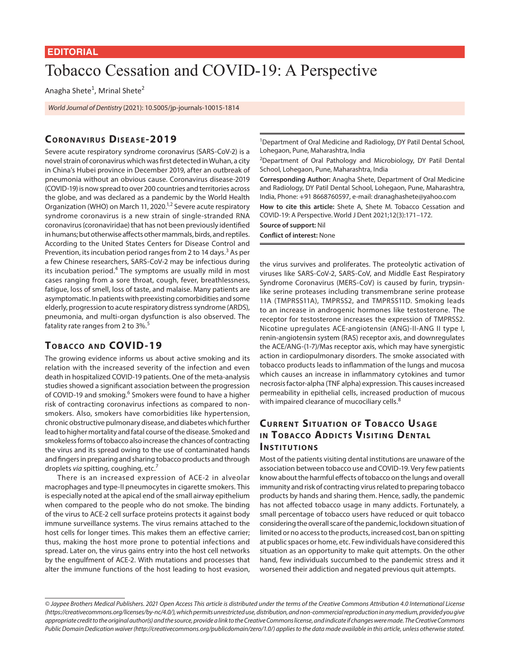#### **EDITORIAL**

# Tobacco Cessation and COVID-19: A Perspective

Anagha Shete<sup>1</sup>, Mrinal Shete<sup>2</sup>

*World Journal of Dentistry* (2021): 10.5005/jp-journals-10015-1814

### CORONAVIRUS DISFASE-2019

Severe acute respiratory syndrome coronavirus (SARS-CoV-2) is a novel strain of coronavirus which was first detected in Wuhan, a city in China's Hubei province in December 2019, after an outbreak of pneumonia without an obvious cause. Coronavirus disease-2019 (COVID-19) is now spread to over 200 countries and territories across the globe, and was declared as a pandemic by the World Health Organization (WHO) on March 11, 2020.<sup>1,2</sup> Severe acute respiratory syndrome coronavirus is a new strain of single-stranded RNA coronavirus (coronaviridae) that has not been previously identified in humans; but otherwise affects other mammals, birds, and reptiles. According to the United States Centers for Disease Control and Prevention, its incubation period ranges from 2 to 14 days.<sup>3</sup> As per a few Chinese researchers, SARS-CoV-2 may be infectious during its incubation period.<sup>4</sup> The symptoms are usually mild in most cases ranging from a sore throat, cough, fever, breathlessness, fatigue, loss of smell, loss of taste, and malaise. Many patients are asymptomatic. In patients with preexisting comorbidities and some elderly, progression to acute respiratory distress syndrome (ARDS), pneumonia, and multi-organ dysfunction is also observed. The fatality rate ranges from 2 to 3%.<sup>5</sup>

### **TOBACCO AND COVID-19**

The growing evidence informs us about active smoking and its relation with the increased severity of the infection and even death in hospitalized COVID-19 patients. One of the meta-analysis studies showed a significant association between the progression of COVID-19 and smoking.<sup>6</sup> Smokers were found to have a higher risk of contracting coronavirus infections as compared to nonsmokers. Also, smokers have comorbidities like hypertension, chronic obstructive pulmonary disease, and diabetes which further lead to higher mortality and fatal course of the disease. Smoked and smokeless forms of tobacco also increase the chances of contracting the virus and its spread owing to the use of contaminated hands and fingers in preparing and sharing tobacco products and through droplets *via* spitting, coughing, etc.7

There is an increased expression of ACE-2 in alveolar macrophages and type-II pneumocytes in cigarette smokers. This is especially noted at the apical end of the small airway epithelium when compared to the people who do not smoke. The binding of the virus to ACE-2 cell surface proteins protects it against body immune surveillance systems. The virus remains attached to the host cells for longer times. This makes them an effective carrier; thus, making the host more prone to potential infections and spread. Later on, the virus gains entry into the host cell networks by the engulfment of ACE-2. With mutations and processes that alter the immune functions of the host leading to host evasion,

<sup>1</sup>Department of Oral Medicine and Radiology, DY Patil Dental School, Lohegaon, Pune, Maharashtra, India

<sup>2</sup>Department of Oral Pathology and Microbiology, DY Patil Dental School, Lohegaon, Pune, Maharashtra, India

**Corresponding Author:** Anagha Shete, Department of Oral Medicine and Radiology, DY Patil Dental School, Lohegaon, Pune, Maharashtra, India, Phone: +91 8668760597, e-mail: dranaghashete@yahoo.com **How to cite this article:** Shete A, Shete M. Tobacco Cessation and COVID-19: A Perspective. World J Dent 2021;12(3):171–172.

**Source of support:** Nil

**Conflict of interest:** None

the virus survives and proliferates. The proteolytic activation of viruses like SARS-CoV-2, SARS-CoV, and Middle East Respiratory Syndrome Coronavirus (MERS-CoV) is caused by furin, trypsinlike serine proteases including transmembrane serine protease 11A (TMPRSS11A), TMPRSS2, and TMPRSS11D. Smoking leads to an increase in androgenic hormones like testosterone. The receptor for testosterone increases the expression of TMPRSS2. Nicotine upregulates ACE-angiotensin (ANG)-II-ANG II type I, renin-angiotensin system (RAS) receptor axis, and downregulates the ACE/ANG-(1-7)/Mas receptor axis, which may have synergistic action in cardiopulmonary disorders. The smoke associated with tobacco products leads to inflammation of the lungs and mucosa which causes an increase in inflammatory cytokines and tumor necrosis factor-alpha (TNF alpha) expression. This causes increased permeability in epithelial cells, increased production of mucous with impaired clearance of mucociliary cells.<sup>8</sup>

## **CURRENT SITUATION OF TOBACCO USAGE IN TOBACCO ADDICTS VISITING DENTAL INSTITUTIONS**

Most of the patients visiting dental institutions are unaware of the association between tobacco use and COVID-19. Very few patients know about the harmful effects of tobacco on the lungs and overall immunity and risk of contracting virus related to preparing tobacco products by hands and sharing them. Hence, sadly, the pandemic has not affected tobacco usage in many addicts. Fortunately, a small percentage of tobacco users have reduced or quit tobacco considering the overall scare of the pandemic, lockdown situation of limited or no access to the products, increased cost, ban on spitting at public spaces or home, etc. Few individuals have considered this situation as an opportunity to make quit attempts. On the other hand, few individuals succumbed to the pandemic stress and it worsened their addiction and negated previous quit attempts.

*<sup>©</sup> Jaypee Brothers Medical Publishers. 2021 Open Access This article is distributed under the terms of the Creative Commons Attribution 4.0 International License (https://creativecommons.org/licenses/by-nc/4.0/), which permits unrestricted use, distribution, and non-commercial reproduction in any medium, provided you give appropriate credit to the original author(s) and the source, provide a link to the Creative Commons license, and indicate if changes were made. The Creative Commons Public Domain Dedication waiver (http://creativecommons.org/publicdomain/zero/1.0/) applies to the data made available in this article, unless otherwise stated.*